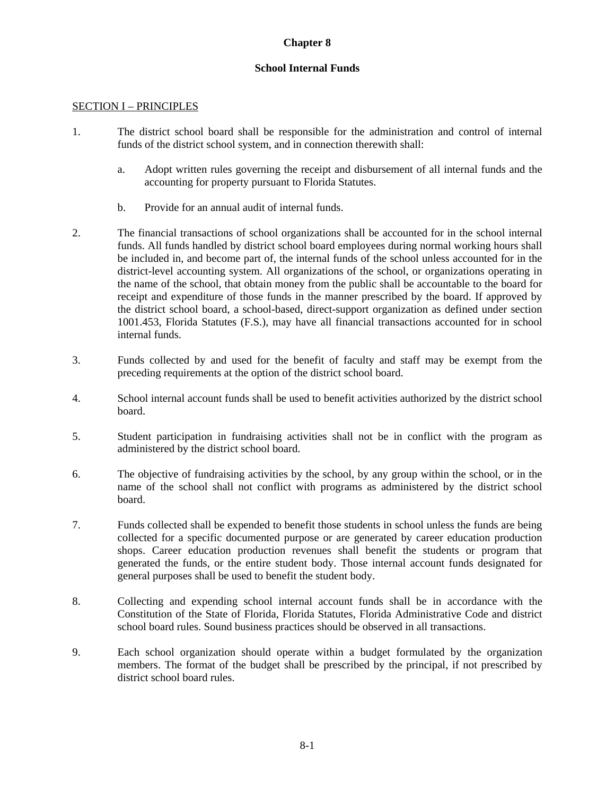## **Chapter 8**

## **School Internal Funds**

#### SECTION I – PRINCIPLES

- 1. The district school board shall be responsible for the administration and control of internal funds of the district school system, and in connection therewith shall:
	- a. Adopt written rules governing the receipt and disbursement of all internal funds and the accounting for property pursuant to Florida Statutes.
	- b. Provide for an annual audit of internal funds.
- 2. The financial transactions of school organizations shall be accounted for in the school internal funds. All funds handled by district school board employees during normal working hours shall be included in, and become part of, the internal funds of the school unless accounted for in the district-level accounting system. All organizations of the school, or organizations operating in the name of the school, that obtain money from the public shall be accountable to the board for receipt and expenditure of those funds in the manner prescribed by the board. If approved by the district school board, a school-based, direct-support organization as defined under section 1001.453, Florida Statutes (F.S.), may have all financial transactions accounted for in school internal funds.
- 3. Funds collected by and used for the benefit of faculty and staff may be exempt from the preceding requirements at the option of the district school board.
- 4. School internal account funds shall be used to benefit activities authorized by the district school board.
- 5. Student participation in fundraising activities shall not be in conflict with the program as administered by the district school board.
- 6. The objective of fundraising activities by the school, by any group within the school, or in the name of the school shall not conflict with programs as administered by the district school board.
- 7. Funds collected shall be expended to benefit those students in school unless the funds are being collected for a specific documented purpose or are generated by career education production shops. Career education production revenues shall benefit the students or program that generated the funds, or the entire student body. Those internal account funds designated for general purposes shall be used to benefit the student body.
- 8. Collecting and expending school internal account funds shall be in accordance with the Constitution of the State of Florida, Florida Statutes, Florida Administrative Code and district school board rules. Sound business practices should be observed in all transactions.
- 9. Each school organization should operate within a budget formulated by the organization members. The format of the budget shall be prescribed by the principal, if not prescribed by district school board rules.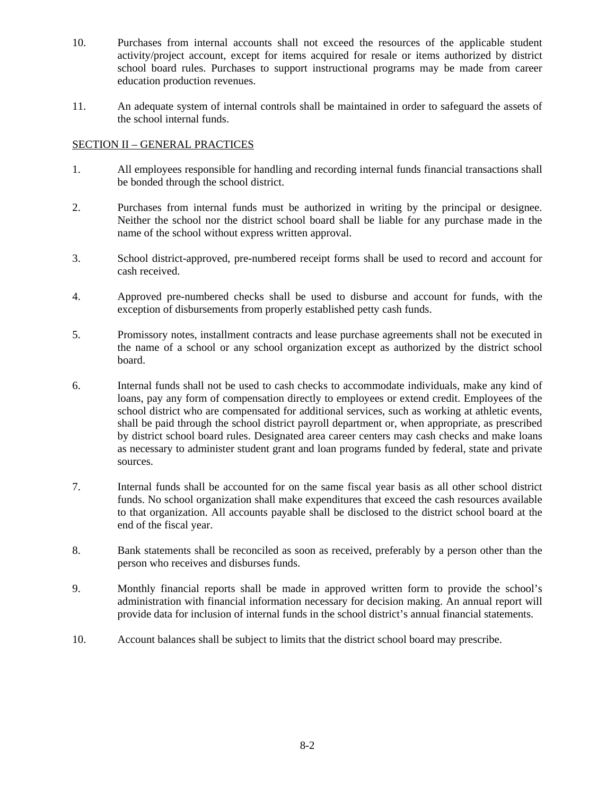- 10. Purchases from internal accounts shall not exceed the resources of the applicable student activity/project account, except for items acquired for resale or items authorized by district school board rules. Purchases to support instructional programs may be made from career education production revenues.
- 11. An adequate system of internal controls shall be maintained in order to safeguard the assets of the school internal funds.

## SECTION II – GENERAL PRACTICES

- 1. All employees responsible for handling and recording internal funds financial transactions shall be bonded through the school district.
- 2. Purchases from internal funds must be authorized in writing by the principal or designee. Neither the school nor the district school board shall be liable for any purchase made in the name of the school without express written approval.
- 3. School district-approved, pre-numbered receipt forms shall be used to record and account for cash received.
- 4. Approved pre-numbered checks shall be used to disburse and account for funds, with the exception of disbursements from properly established petty cash funds.
- 5. Promissory notes, installment contracts and lease purchase agreements shall not be executed in the name of a school or any school organization except as authorized by the district school board.
- 6. Internal funds shall not be used to cash checks to accommodate individuals, make any kind of loans, pay any form of compensation directly to employees or extend credit. Employees of the school district who are compensated for additional services, such as working at athletic events, shall be paid through the school district payroll department or, when appropriate, as prescribed by district school board rules. Designated area career centers may cash checks and make loans as necessary to administer student grant and loan programs funded by federal, state and private sources.
- 7. Internal funds shall be accounted for on the same fiscal year basis as all other school district funds. No school organization shall make expenditures that exceed the cash resources available to that organization. All accounts payable shall be disclosed to the district school board at the end of the fiscal year.
- 8. Bank statements shall be reconciled as soon as received, preferably by a person other than the person who receives and disburses funds.
- 9. Monthly financial reports shall be made in approved written form to provide the school's administration with financial information necessary for decision making. An annual report will provide data for inclusion of internal funds in the school district's annual financial statements.
- 10. Account balances shall be subject to limits that the district school board may prescribe.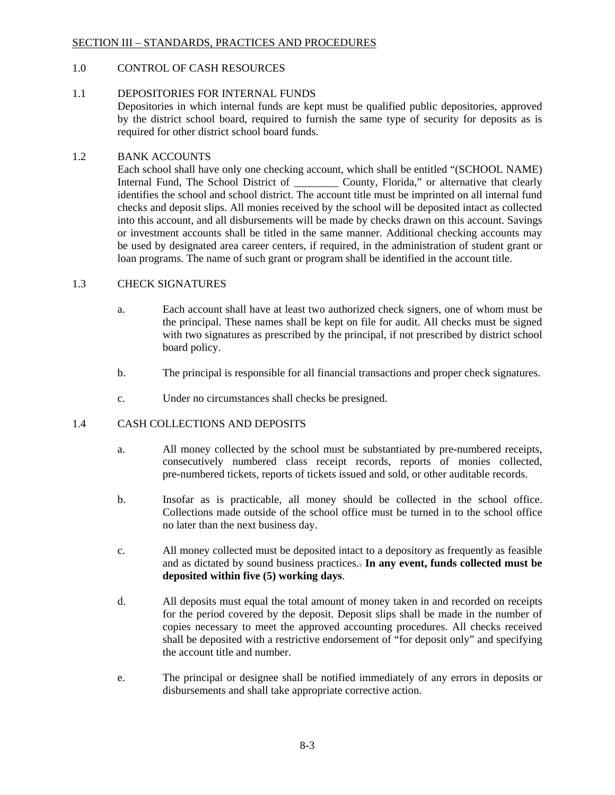## SECTION III – STANDARDS, PRACTICES AND PROCEDURES

## 1.0 CONTROL OF CASH RESOURCES

## 1.1 DEPOSITORIES FOR INTERNAL FUNDS

Depositories in which internal funds are kept must be qualified public depositories, approved by the district school board, required to furnish the same type of security for deposits as is required for other district school board funds.

#### 1.2 BANK ACCOUNTS

Each school shall have only one checking account, which shall be entitled "(SCHOOL NAME) Internal Fund, The School District of \_\_\_\_\_\_\_\_ County, Florida," or alternative that clearly identifies the school and school district. The account title must be imprinted on all internal fund checks and deposit slips. All monies received by the school will be deposited intact as collected into this account, and all disbursements will be made by checks drawn on this account. Savings or investment accounts shall be titled in the same manner. Additional checking accounts may be used by designated area career centers, if required, in the administration of student grant or loan programs. The name of such grant or program shall be identified in the account title.

#### 1.3 CHECK SIGNATURES

- a. Each account shall have at least two authorized check signers, one of whom must be the principal. These names shall be kept on file for audit. All checks must be signed with two signatures as prescribed by the principal, if not prescribed by district school board policy.
- b. The principal is responsible for all financial transactions and proper check signatures.
- c. Under no circumstances shall checks be presigned.

## 1.4 CASH COLLECTIONS AND DEPOSITS

- a. All money collected by the school must be substantiated by pre-numbered receipts, consecutively numbered class receipt records, reports of monies collected, pre-numbered tickets, reports of tickets issued and sold, or other auditable records.
- b. Insofar as is practicable, all money should be collected in the school office. Collections made outside of the school office must be turned in to the school office no later than the next business day.
- c. All money collected must be deposited intact to a depository as frequently as feasible and as dictated by sound business practices.. **In any event, funds collected must be deposited within five (5) working days**.
- d. All deposits must equal the total amount of money taken in and recorded on receipts for the period covered by the deposit. Deposit slips shall be made in the number of copies necessary to meet the approved accounting procedures. All checks received shall be deposited with a restrictive endorsement of "for deposit only" and specifying the account title and number.
- e. The principal or designee shall be notified immediately of any errors in deposits or disbursements and shall take appropriate corrective action.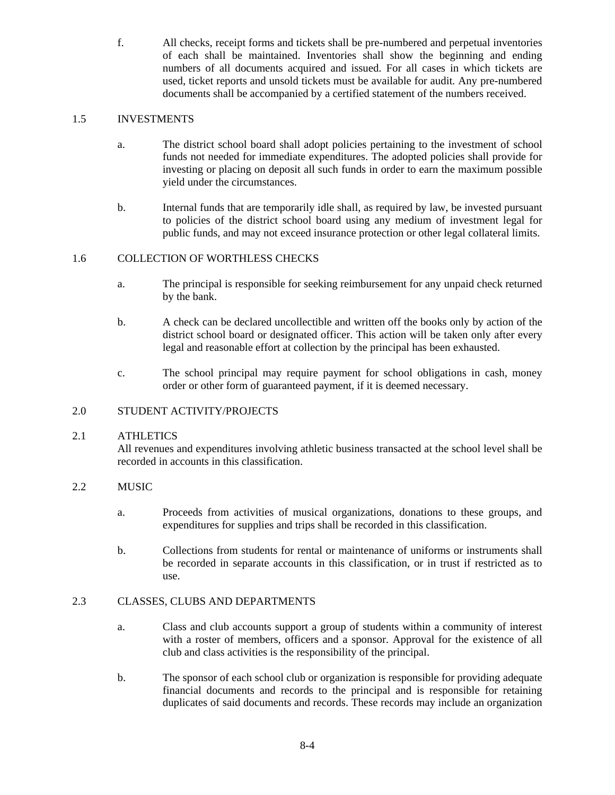f. All checks, receipt forms and tickets shall be pre-numbered and perpetual inventories of each shall be maintained. Inventories shall show the beginning and ending numbers of all documents acquired and issued. For all cases in which tickets are used, ticket reports and unsold tickets must be available for audit. Any pre-numbered documents shall be accompanied by a certified statement of the numbers received.

# 1.5 INVESTMENTS

- a. The district school board shall adopt policies pertaining to the investment of school funds not needed for immediate expenditures. The adopted policies shall provide for investing or placing on deposit all such funds in order to earn the maximum possible yield under the circumstances.
- b. Internal funds that are temporarily idle shall, as required by law, be invested pursuant to policies of the district school board using any medium of investment legal for public funds, and may not exceed insurance protection or other legal collateral limits.

## 1.6 COLLECTION OF WORTHLESS CHECKS

- a. The principal is responsible for seeking reimbursement for any unpaid check returned by the bank.
- b. A check can be declared uncollectible and written off the books only by action of the district school board or designated officer. This action will be taken only after every legal and reasonable effort at collection by the principal has been exhausted.
- c. The school principal may require payment for school obligations in cash, money order or other form of guaranteed payment, if it is deemed necessary.

## 2.0 STUDENT ACTIVITY/PROJECTS

## 2.1 ATHLETICS

All revenues and expenditures involving athletic business transacted at the school level shall be recorded in accounts in this classification.

# 2.2 MUSIC

- a. Proceeds from activities of musical organizations, donations to these groups, and expenditures for supplies and trips shall be recorded in this classification.
- b. Collections from students for rental or maintenance of uniforms or instruments shall be recorded in separate accounts in this classification, or in trust if restricted as to use.

## 2.3 CLASSES, CLUBS AND DEPARTMENTS

- a. Class and club accounts support a group of students within a community of interest with a roster of members, officers and a sponsor. Approval for the existence of all club and class activities is the responsibility of the principal.
- b. The sponsor of each school club or organization is responsible for providing adequate financial documents and records to the principal and is responsible for retaining duplicates of said documents and records. These records may include an organization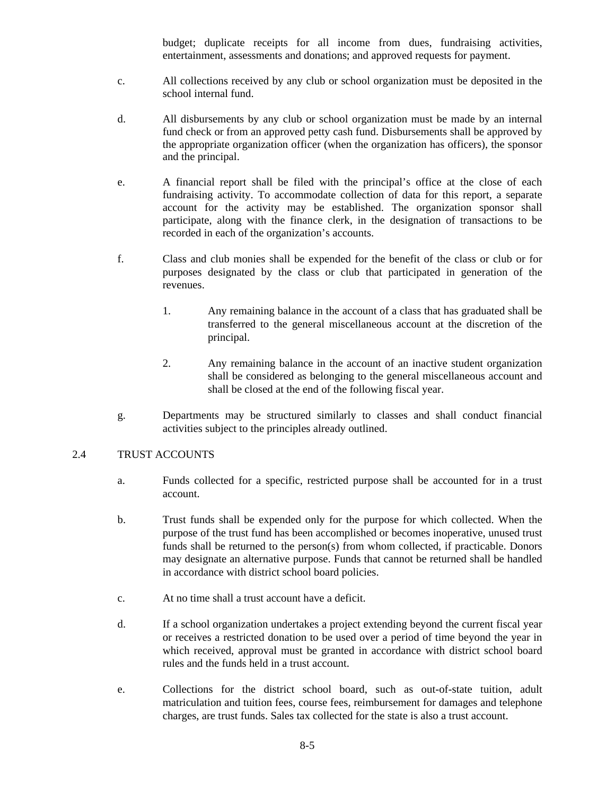budget; duplicate receipts for all income from dues, fundraising activities, entertainment, assessments and donations; and approved requests for payment.

- c. All collections received by any club or school organization must be deposited in the school internal fund.
- d. All disbursements by any club or school organization must be made by an internal fund check or from an approved petty cash fund. Disbursements shall be approved by the appropriate organization officer (when the organization has officers), the sponsor and the principal.
- e. A financial report shall be filed with the principal's office at the close of each fundraising activity. To accommodate collection of data for this report, a separate account for the activity may be established. The organization sponsor shall participate, along with the finance clerk, in the designation of transactions to be recorded in each of the organization's accounts.
- f. Class and club monies shall be expended for the benefit of the class or club or for purposes designated by the class or club that participated in generation of the revenues.
	- 1. Any remaining balance in the account of a class that has graduated shall be transferred to the general miscellaneous account at the discretion of the principal.
	- 2. Any remaining balance in the account of an inactive student organization shall be considered as belonging to the general miscellaneous account and shall be closed at the end of the following fiscal year.
- g. Departments may be structured similarly to classes and shall conduct financial activities subject to the principles already outlined.

#### 2.4 TRUST ACCOUNTS

- a. Funds collected for a specific, restricted purpose shall be accounted for in a trust account.
- b. Trust funds shall be expended only for the purpose for which collected. When the purpose of the trust fund has been accomplished or becomes inoperative, unused trust funds shall be returned to the person(s) from whom collected, if practicable. Donors may designate an alternative purpose. Funds that cannot be returned shall be handled in accordance with district school board policies.
- c. At no time shall a trust account have a deficit.
- d. If a school organization undertakes a project extending beyond the current fiscal year or receives a restricted donation to be used over a period of time beyond the year in which received, approval must be granted in accordance with district school board rules and the funds held in a trust account.
- e. Collections for the district school board, such as out-of-state tuition, adult matriculation and tuition fees, course fees, reimbursement for damages and telephone charges, are trust funds. Sales tax collected for the state is also a trust account.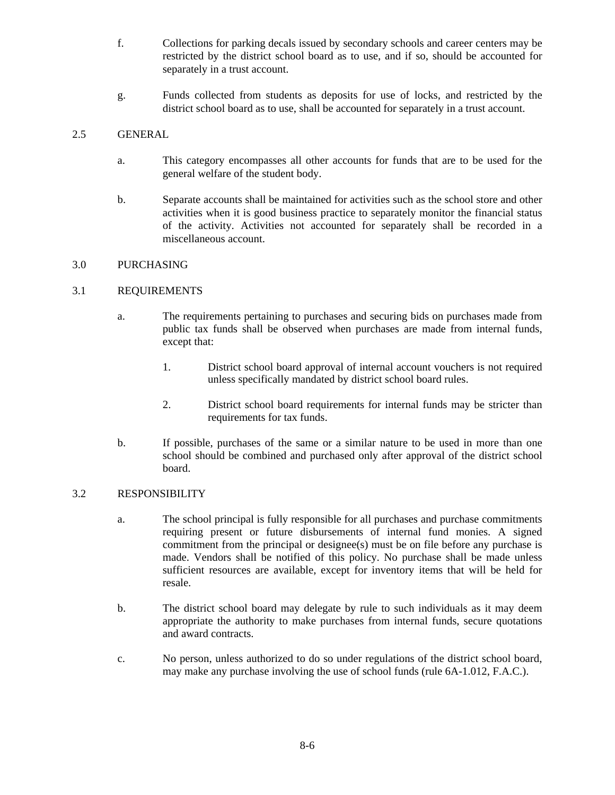- f. Collections for parking decals issued by secondary schools and career centers may be restricted by the district school board as to use, and if so, should be accounted for separately in a trust account.
- g. Funds collected from students as deposits for use of locks, and restricted by the district school board as to use, shall be accounted for separately in a trust account.

# 2.5 GENERAL

- a. This category encompasses all other accounts for funds that are to be used for the general welfare of the student body.
- b. Separate accounts shall be maintained for activities such as the school store and other activities when it is good business practice to separately monitor the financial status of the activity. Activities not accounted for separately shall be recorded in a miscellaneous account.

## 3.0 PURCHASING

## 3.1 REQUIREMENTS

- a. The requirements pertaining to purchases and securing bids on purchases made from public tax funds shall be observed when purchases are made from internal funds, except that:
	- 1. District school board approval of internal account vouchers is not required unless specifically mandated by district school board rules.
	- 2. District school board requirements for internal funds may be stricter than requirements for tax funds.
- b. If possible, purchases of the same or a similar nature to be used in more than one school should be combined and purchased only after approval of the district school board.

## 3.2 RESPONSIBILITY

- a. The school principal is fully responsible for all purchases and purchase commitments requiring present or future disbursements of internal fund monies. A signed commitment from the principal or designee(s) must be on file before any purchase is made. Vendors shall be notified of this policy. No purchase shall be made unless sufficient resources are available, except for inventory items that will be held for resale.
- b. The district school board may delegate by rule to such individuals as it may deem appropriate the authority to make purchases from internal funds, secure quotations and award contracts.
- c. No person, unless authorized to do so under regulations of the district school board, may make any purchase involving the use of school funds (rule 6A-1.012, F.A.C.).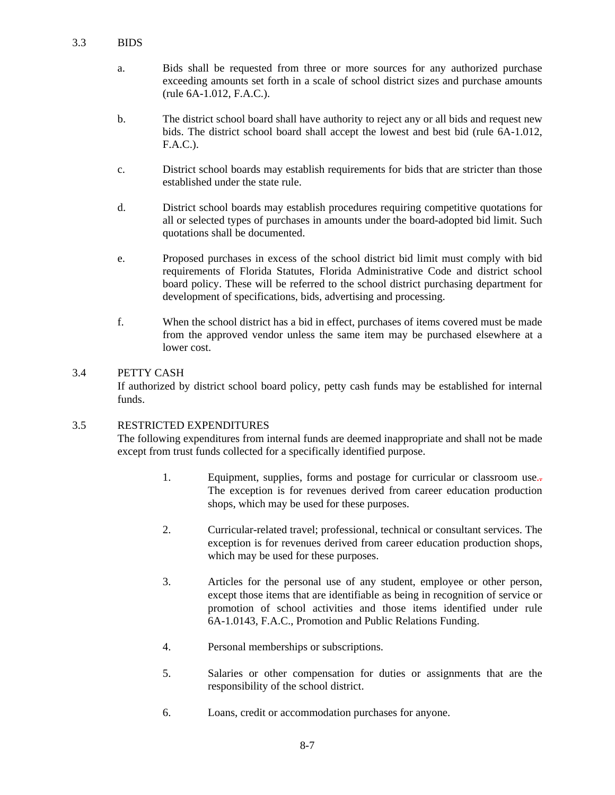- a. Bids shall be requested from three or more sources for any authorized purchase exceeding amounts set forth in a scale of school district sizes and purchase amounts (rule 6A-1.012, F.A.C.).
- b. The district school board shall have authority to reject any or all bids and request new bids. The district school board shall accept the lowest and best bid (rule 6A-1.012, F.A.C.).
- c. District school boards may establish requirements for bids that are stricter than those established under the state rule.
- d. District school boards may establish procedures requiring competitive quotations for all or selected types of purchases in amounts under the board-adopted bid limit. Such quotations shall be documented.
- e. Proposed purchases in excess of the school district bid limit must comply with bid requirements of Florida Statutes, Florida Administrative Code and district school board policy. These will be referred to the school district purchasing department for development of specifications, bids, advertising and processing.
- f. When the school district has a bid in effect, purchases of items covered must be made from the approved vendor unless the same item may be purchased elsewhere at a lower cost.

## 3.4 PETTY CASH

If authorized by district school board policy, petty cash funds may be established for internal funds.

## 3.5 RESTRICTED EXPENDITURES

The following expenditures from internal funds are deemed inappropriate and shall not be made except from trust funds collected for a specifically identified purpose.

- 1. Equipment, supplies, forms and postage for curricular or classroom use. $\overline{z}$ The exception is for revenues derived from career education production shops, which may be used for these purposes.
- 2. Curricular-related travel; professional, technical or consultant services. The exception is for revenues derived from career education production shops, which may be used for these purposes.
- 3. Articles for the personal use of any student, employee or other person, except those items that are identifiable as being in recognition of service or promotion of school activities and those items identified under rule 6A-1.0143, F.A.C., Promotion and Public Relations Funding.
- 4. Personal memberships or subscriptions.
- 5. Salaries or other compensation for duties or assignments that are the responsibility of the school district.
- 6. Loans, credit or accommodation purchases for anyone.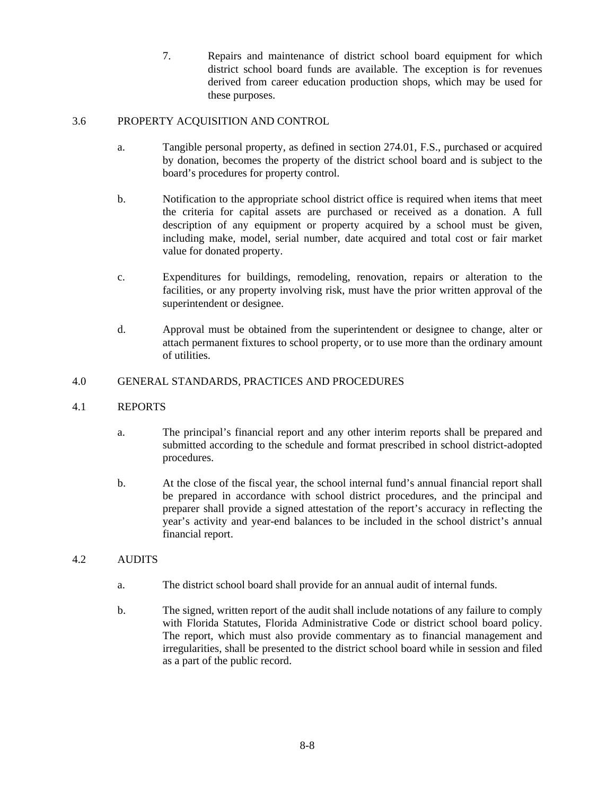7. Repairs and maintenance of district school board equipment for which district school board funds are available. The exception is for revenues derived from career education production shops, which may be used for these purposes.

# 3.6 PROPERTY ACQUISITION AND CONTROL

- a. Tangible personal property, as defined in section 274.01, F.S., purchased or acquired by donation, becomes the property of the district school board and is subject to the board's procedures for property control.
- b. Notification to the appropriate school district office is required when items that meet the criteria for capital assets are purchased or received as a donation. A full description of any equipment or property acquired by a school must be given, including make, model, serial number, date acquired and total cost or fair market value for donated property.
- facilities, or any property involving risk, must have the prior written approval of the c. Expenditures for buildings, remodeling, renovation, repairs or alteration to the superintendent or designee.
- d. Approval must be obtained from the superintendent or designee to change, alter or attach permanent fixtures to school property, or to use more than the ordinary amount of utilities.

## 4.0 GENERAL STANDARDS, PRACTICES AND PROCEDURES

## 4.1 REPORTS

- a. The principal's financial report and any other interim reports shall be prepared and submitted according to the schedule and format prescribed in school district-adopted procedures.
- b. At the close of the fiscal year, the school internal fund's annual financial report shall be prepared in accordance with school district procedures, and the principal and preparer shall provide a signed attestation of the report's accuracy in reflecting the year's activity and year-end balances to be included in the school district's annual financial report.

## 4.2 AUDITS

- a. The district school board shall provide for an annual audit of internal funds.
- b. The signed, written report of the audit shall include notations of any failure to comply with Florida Statutes, Florida Administrative Code or district school board policy. The report, which must also provide commentary as to financial management and irregularities, shall be presented to the district school board while in session and filed as a part of the public record.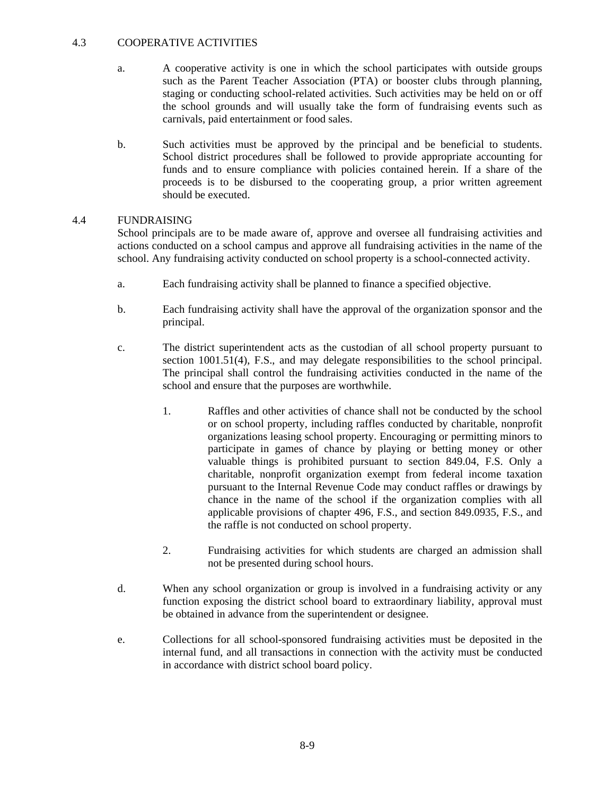#### 4.3 COOPERATIVE ACTIVITIES

- a. A cooperative activity is one in which the school participates with outside groups such as the Parent Teacher Association (PTA) or booster clubs through planning, staging or conducting school-related activities. Such activities may be held on or off the school grounds and will usually take the form of fundraising events such as carnivals, paid entertainment or food sales.
- b. Such activities must be approved by the principal and be beneficial to students. School district procedures shall be followed to provide appropriate accounting for funds and to ensure compliance with policies contained herein. If a share of the proceeds is to be disbursed to the cooperating group, a prior written agreement should be executed.

#### 4.4 FUNDRAISING

School principals are to be made aware of, approve and oversee all fundraising activities and actions conducted on a school campus and approve all fundraising activities in the name of the school. Any fundraising activity conducted on school property is a school-connected activity.

- a. Each fundraising activity shall be planned to finance a specified objective.
- b. Each fundraising activity shall have the approval of the organization sponsor and the principal.
- c. The district superintendent acts as the custodian of all school property pursuant to section 1001.51(4), F.S., and may delegate responsibilities to the school principal. The principal shall control the fundraising activities conducted in the name of the school and ensure that the purposes are worthwhile.
	- 1. Raffles and other activities of chance shall not be conducted by the school or on school property, including raffles conducted by charitable, nonprofit organizations leasing school property. Encouraging or permitting minors to participate in games of chance by playing or betting money or other valuable things is prohibited pursuant to section 849.04, F.S. Only a charitable, nonprofit organization exempt from federal income taxation pursuant to the Internal Revenue Code may conduct raffles or drawings by chance in the name of the school if the organization complies with all applicable provisions of chapter 496, F.S., and section 849.0935, F.S., and the raffle is not conducted on school property.
	- 2. Fundraising activities for which students are charged an admission shall not be presented during school hours.
- d. When any school organization or group is involved in a fundraising activity or any function exposing the district school board to extraordinary liability, approval must be obtained in advance from the superintendent or designee.
- e. Collections for all school-sponsored fundraising activities must be deposited in the internal fund, and all transactions in connection with the activity must be conducted in accordance with district school board policy.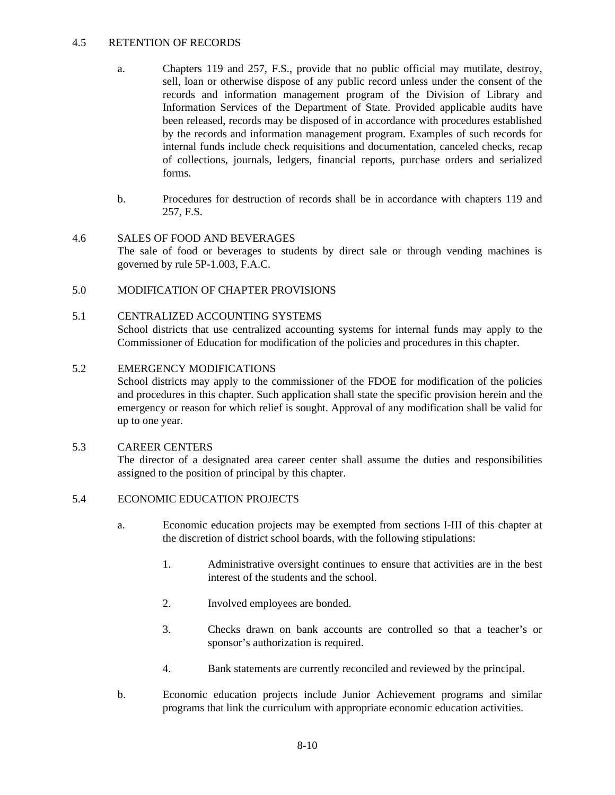#### 4.5 RETENTION OF RECORDS

- a. Chapters 119 and 257, F.S., provide that no public official may mutilate, destroy, sell, loan or otherwise dispose of any public record unless under the consent of the records and information management program of the Division of Library and Information Services of the Department of State. Provided applicable audits have been released, records may be disposed of in accordance with procedures established by the records and information management program. Examples of such records for internal funds include check requisitions and documentation, canceled checks, recap of collections, journals, ledgers, financial reports, purchase orders and serialized forms.
- b. Procedures for destruction of records shall be in accordance with chapters 119 and 257, F.S.

## 4.6 SALES OF FOOD AND BEVERAGES

The sale of food or beverages to students by direct sale or through vending machines is governed by rule 5P-1.003, F.A.C.

## 5.0 MODIFICATION OF CHAPTER PROVISIONS

## 5.1 CENTRALIZED ACCOUNTING SYSTEMS

School districts that use centralized accounting systems for internal funds may apply to the Commissioner of Education for modification of the policies and procedures in this chapter.

## 5.2 EMERGENCY MODIFICATIONS

School districts may apply to the commissioner of the FDOE for modification of the policies and procedures in this chapter. Such application shall state the specific provision herein and the emergency or reason for which relief is sought. Approval of any modification shall be valid for up to one year.

## 5.3 CAREER CENTERS

The director of a designated area career center shall assume the duties and responsibilities assigned to the position of principal by this chapter.

## 5.4 ECONOMIC EDUCATION PROJECTS

- a. Economic education projects may be exempted from sections I-III of this chapter at the discretion of district school boards, with the following stipulations:
	- 1. Administrative oversight continues to ensure that activities are in the best interest of the students and the school.
	- 2. Involved employees are bonded.
	- 3. Checks drawn on bank accounts are controlled so that a teacher's or sponsor's authorization is required.
	- 4. Bank statements are currently reconciled and reviewed by the principal.
- b. Economic education projects include Junior Achievement programs and similar programs that link the curriculum with appropriate economic education activities.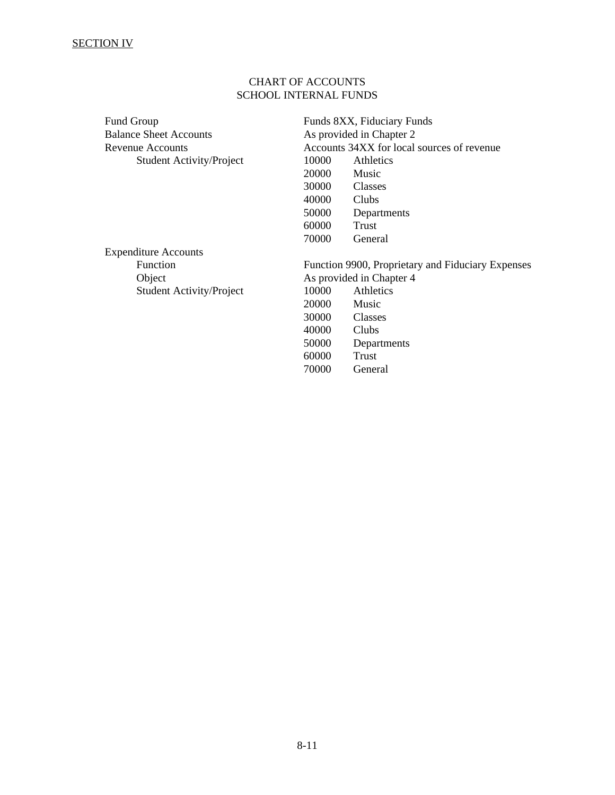# CHART OF ACCOUNTS SCHOOL INTERNAL FUNDS

| <b>Fund Group</b>               |                                                   | Funds 8XX, Fiduciary Funds                 |  |
|---------------------------------|---------------------------------------------------|--------------------------------------------|--|
| <b>Balance Sheet Accounts</b>   | As provided in Chapter 2                          |                                            |  |
| Revenue Accounts                |                                                   | Accounts 34XX for local sources of revenue |  |
| <b>Student Activity/Project</b> | 10000                                             | Athletics                                  |  |
|                                 | 20000                                             | Music                                      |  |
|                                 | 30000                                             | Classes                                    |  |
|                                 | 40000                                             | Clubs                                      |  |
|                                 | 50000                                             | Departments                                |  |
|                                 | 60000                                             | Trust                                      |  |
|                                 | 70000                                             | General                                    |  |
| <b>Expenditure Accounts</b>     |                                                   |                                            |  |
| Function                        | Function 9900, Proprietary and Fiduciary Expenses |                                            |  |
| Object                          | As provided in Chapter 4                          |                                            |  |
| <b>Student Activity/Project</b> | 10000                                             | <b>Athletics</b>                           |  |
|                                 | 20000                                             | Music                                      |  |
|                                 | 30000                                             | Classes                                    |  |
|                                 | 40000                                             | Clubs                                      |  |
|                                 | 50000                                             | Departments                                |  |
|                                 | 60000                                             | Trust                                      |  |
|                                 | 70000                                             | General                                    |  |
|                                 |                                                   |                                            |  |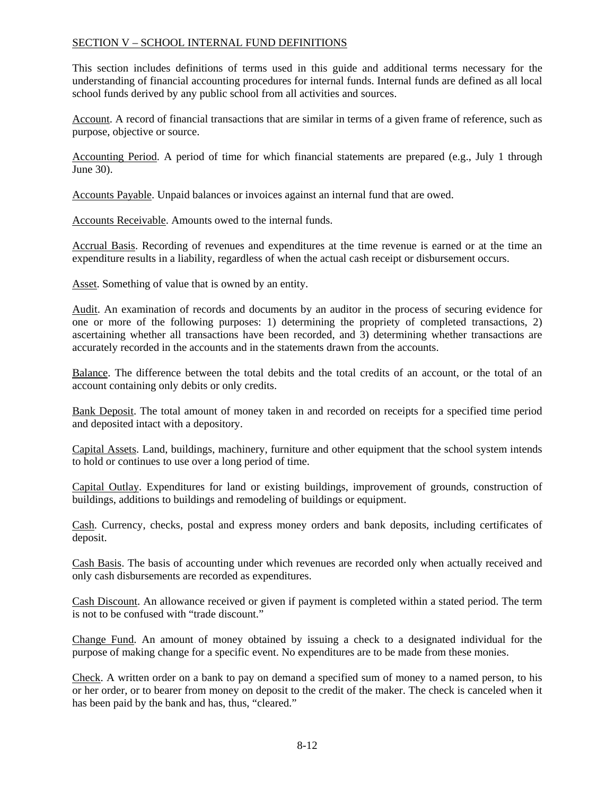## SECTION V – SCHOOL INTERNAL FUND DEFINITIONS

This section includes definitions of terms used in this guide and additional terms necessary for the understanding of financial accounting procedures for internal funds. Internal funds are defined as all local school funds derived by any public school from all activities and sources.

Account. A record of financial transactions that are similar in terms of a given frame of reference, such as purpose, objective or source.

Accounting Period. A period of time for which financial statements are prepared (e.g., July 1 through June 30).

Accounts Payable. Unpaid balances or invoices against an internal fund that are owed.

Accounts Receivable. Amounts owed to the internal funds.

Accrual Basis. Recording of revenues and expenditures at the time revenue is earned or at the time an expenditure results in a liability, regardless of when the actual cash receipt or disbursement occurs.

Asset. Something of value that is owned by an entity.

Audit. An examination of records and documents by an auditor in the process of securing evidence for one or more of the following purposes: 1) determining the propriety of completed transactions, 2) ascertaining whether all transactions have been recorded, and 3) determining whether transactions are accurately recorded in the accounts and in the statements drawn from the accounts.

Balance. The difference between the total debits and the total credits of an account, or the total of an account containing only debits or only credits.

Bank Deposit. The total amount of money taken in and recorded on receipts for a specified time period and deposited intact with a depository.

Capital Assets. Land, buildings, machinery, furniture and other equipment that the school system intends to hold or continues to use over a long period of time.

Capital Outlay. Expenditures for land or existing buildings, improvement of grounds, construction of buildings, additions to buildings and remodeling of buildings or equipment.

Cash. Currency, checks, postal and express money orders and bank deposits, including certificates of deposit.

Cash Basis. The basis of accounting under which revenues are recorded only when actually received and only cash disbursements are recorded as expenditures.

Cash Discount. An allowance received or given if payment is completed within a stated period. The term is not to be confused with "trade discount."

Change Fund. An amount of money obtained by issuing a check to a designated individual for the purpose of making change for a specific event. No expenditures are to be made from these monies.

Check. A written order on a bank to pay on demand a specified sum of money to a named person, to his or her order, or to bearer from money on deposit to the credit of the maker. The check is canceled when it has been paid by the bank and has, thus, "cleared."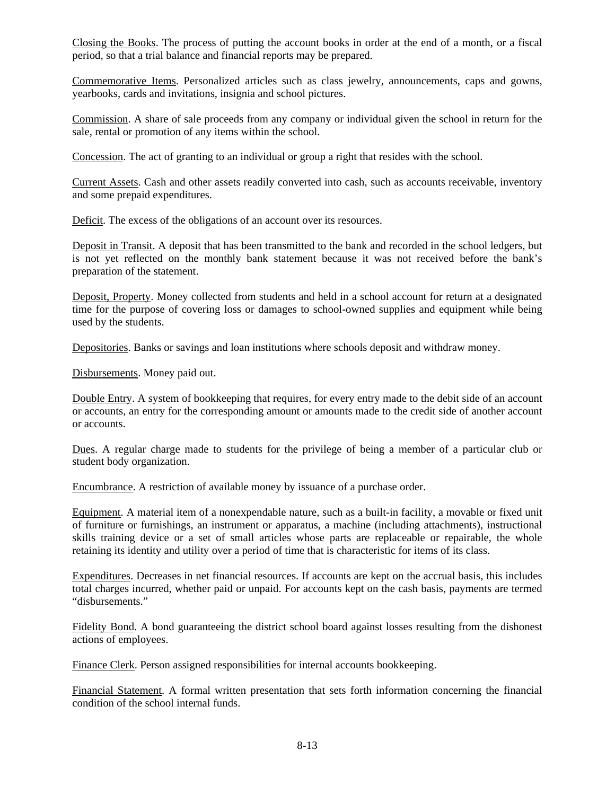Closing the Books. The process of putting the account books in order at the end of a month, or a fiscal period, so that a trial balance and financial reports may be prepared.

Commemorative Items. Personalized articles such as class jewelry, announcements, caps and gowns, yearbooks, cards and invitations, insignia and school pictures.

Commission. A share of sale proceeds from any company or individual given the school in return for the sale, rental or promotion of any items within the school.

Concession. The act of granting to an individual or group a right that resides with the school.

Current Assets. Cash and other assets readily converted into cash, such as accounts receivable, inventory and some prepaid expenditures.

Deficit. The excess of the obligations of an account over its resources.

Deposit in Transit. A deposit that has been transmitted to the bank and recorded in the school ledgers, but is not yet reflected on the monthly bank statement because it was not received before the bank's preparation of the statement.

Deposit, Property. Money collected from students and held in a school account for return at a designated time for the purpose of covering loss or damages to school-owned supplies and equipment while being used by the students.

Depositories. Banks or savings and loan institutions where schools deposit and withdraw money.

Disbursements. Money paid out.

Double Entry. A system of bookkeeping that requires, for every entry made to the debit side of an account or accounts, an entry for the corresponding amount or amounts made to the credit side of another account or accounts.

Dues. A regular charge made to students for the privilege of being a member of a particular club or student body organization.

Encumbrance. A restriction of available money by issuance of a purchase order.

Equipment. A material item of a nonexpendable nature, such as a built-in facility, a movable or fixed unit of furniture or furnishings, an instrument or apparatus, a machine (including attachments), instructional skills training device or a set of small articles whose parts are replaceable or repairable, the whole retaining its identity and utility over a period of time that is characteristic for items of its class.

Expenditures. Decreases in net financial resources. If accounts are kept on the accrual basis, this includes total charges incurred, whether paid or unpaid. For accounts kept on the cash basis, payments are termed "disbursements."

Fidelity Bond. A bond guaranteeing the district school board against losses resulting from the dishonest actions of employees.

Finance Clerk. Person assigned responsibilities for internal accounts bookkeeping.

Financial Statement. A formal written presentation that sets forth information concerning the financial condition of the school internal funds.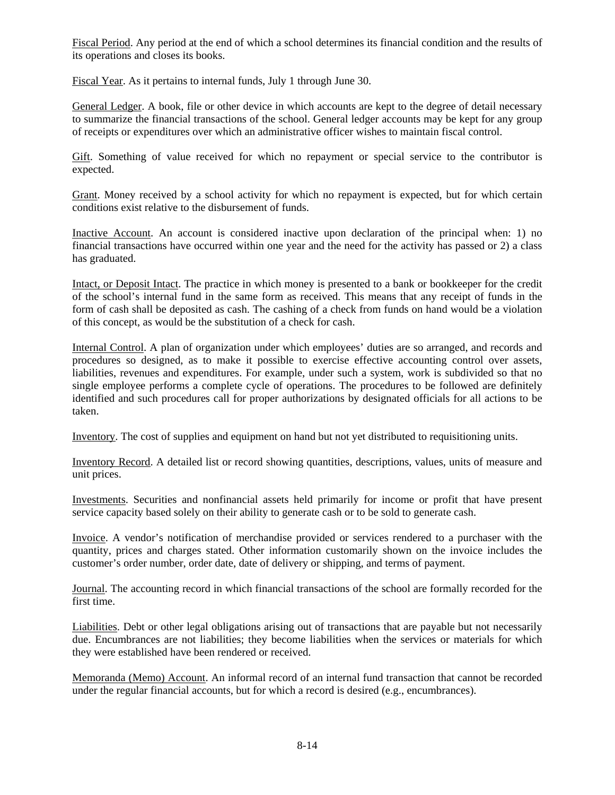Fiscal Period. Any period at the end of which a school determines its financial condition and the results of its operations and closes its books.

Fiscal Year. As it pertains to internal funds, July 1 through June 30.

General Ledger. A book, file or other device in which accounts are kept to the degree of detail necessary to summarize the financial transactions of the school. General ledger accounts may be kept for any group of receipts or expenditures over which an administrative officer wishes to maintain fiscal control.

Gift. Something of value received for which no repayment or special service to the contributor is expected.

Grant. Money received by a school activity for which no repayment is expected, but for which certain conditions exist relative to the disbursement of funds.

Inactive Account. An account is considered inactive upon declaration of the principal when: 1) no financial transactions have occurred within one year and the need for the activity has passed or 2) a class has graduated.

Intact, or Deposit Intact. The practice in which money is presented to a bank or bookkeeper for the credit of the school's internal fund in the same form as received. This means that any receipt of funds in the form of cash shall be deposited as cash. The cashing of a check from funds on hand would be a violation of this concept, as would be the substitution of a check for cash.

Internal Control. A plan of organization under which employees' duties are so arranged, and records and procedures so designed, as to make it possible to exercise effective accounting control over assets, liabilities, revenues and expenditures. For example, under such a system, work is subdivided so that no single employee performs a complete cycle of operations. The procedures to be followed are definitely identified and such procedures call for proper authorizations by designated officials for all actions to be taken.

Inventory. The cost of supplies and equipment on hand but not yet distributed to requisitioning units.

Inventory Record. A detailed list or record showing quantities, descriptions, values, units of measure and unit prices.

Investments. Securities and nonfinancial assets held primarily for income or profit that have present service capacity based solely on their ability to generate cash or to be sold to generate cash.

Invoice. A vendor's notification of merchandise provided or services rendered to a purchaser with the quantity, prices and charges stated. Other information customarily shown on the invoice includes the customer's order number, order date, date of delivery or shipping, and terms of payment.

Journal. The accounting record in which financial transactions of the school are formally recorded for the first time.

Liabilities. Debt or other legal obligations arising out of transactions that are payable but not necessarily due. Encumbrances are not liabilities; they become liabilities when the services or materials for which they were established have been rendered or received.

Memoranda (Memo) Account. An informal record of an internal fund transaction that cannot be recorded under the regular financial accounts, but for which a record is desired (e.g., encumbrances).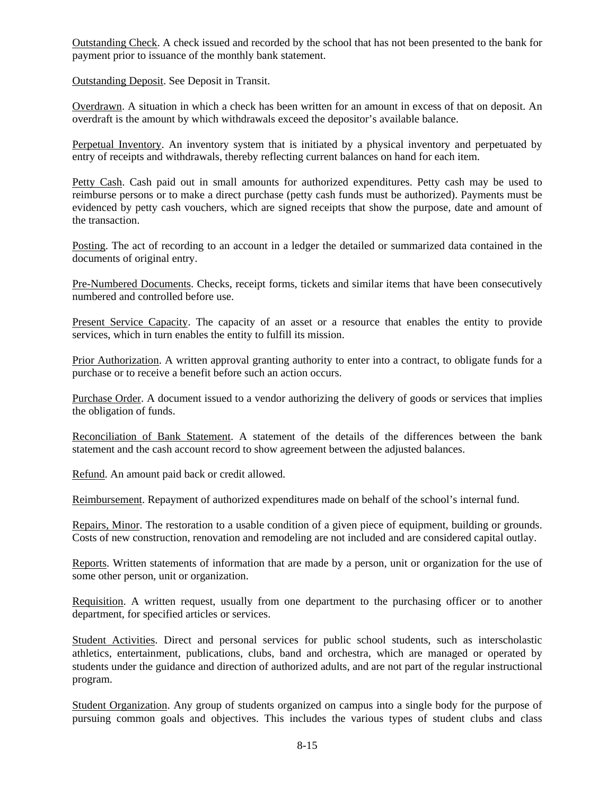Outstanding Check. A check issued and recorded by the school that has not been presented to the bank for payment prior to issuance of the monthly bank statement.

Outstanding Deposit. See Deposit in Transit.

Overdrawn. A situation in which a check has been written for an amount in excess of that on deposit. An overdraft is the amount by which withdrawals exceed the depositor's available balance.

Perpetual Inventory. An inventory system that is initiated by a physical inventory and perpetuated by entry of receipts and withdrawals, thereby reflecting current balances on hand for each item.

Petty Cash. Cash paid out in small amounts for authorized expenditures. Petty cash may be used to reimburse persons or to make a direct purchase (petty cash funds must be authorized). Payments must be evidenced by petty cash vouchers, which are signed receipts that show the purpose, date and amount of the transaction.

Posting. The act of recording to an account in a ledger the detailed or summarized data contained in the documents of original entry.

Pre-Numbered Documents. Checks, receipt forms, tickets and similar items that have been consecutively numbered and controlled before use.

Present Service Capacity. The capacity of an asset or a resource that enables the entity to provide services, which in turn enables the entity to fulfill its mission.

Prior Authorization. A written approval granting authority to enter into a contract, to obligate funds for a purchase or to receive a benefit before such an action occurs.

Purchase Order. A document issued to a vendor authorizing the delivery of goods or services that implies the obligation of funds.

Reconciliation of Bank Statement. A statement of the details of the differences between the bank statement and the cash account record to show agreement between the adjusted balances.

Refund. An amount paid back or credit allowed.

Reimbursement. Repayment of authorized expenditures made on behalf of the school's internal fund.

Repairs, Minor. The restoration to a usable condition of a given piece of equipment, building or grounds. Costs of new construction, renovation and remodeling are not included and are considered capital outlay.

Reports. Written statements of information that are made by a person, unit or organization for the use of some other person, unit or organization.

Requisition. A written request, usually from one department to the purchasing officer or to another department, for specified articles or services.

Student Activities. Direct and personal services for public school students, such as interscholastic athletics, entertainment, publications, clubs, band and orchestra, which are managed or operated by students under the guidance and direction of authorized adults, and are not part of the regular instructional program.

Student Organization. Any group of students organized on campus into a single body for the purpose of pursuing common goals and objectives. This includes the various types of student clubs and class